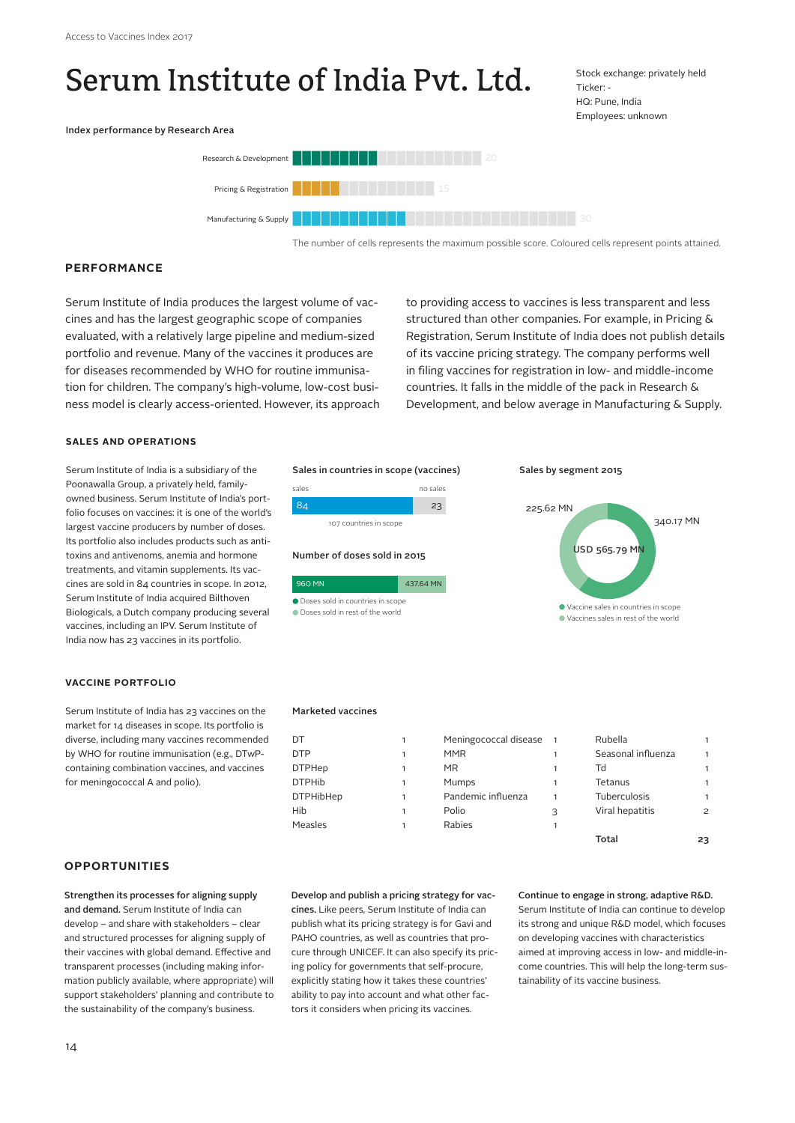# Serum Institute of India Pvt. Ltd.

Stock exchange: privately held Ticker: - HQ: Pune, India Employees: unknown





The number of cells represents the maximum possible score. Coloured cells represent points attained.

# **PERFORMANCE**

Serum Institute of India produces the largest volume of vaccines and has the largest geographic scope of companies evaluated, with a relatively large pipeline and medium-sized portfolio and revenue. Many of the vaccines it produces are for diseases recommended by WHO for routine immunisation for children. The company's high-volume, low-cost business model is clearly access-oriented. However, its approach to providing access to vaccines is less transparent and less structured than other companies. For example, in Pricing & Registration, Serum Institute of India does not publish details of its vaccine pricing strategy. The company performs well in filing vaccines for registration in low- and middle-income countries. It falls in the middle of the pack in Research & Development, and below average in Manufacturing & Supply.

#### **SALES AND OPERATIONS**

Serum Institute of India is a subsidiary of the Poonawalla Group, a privately held, familyowned business. Serum Institute of India's portfolio focuses on vaccines: it is one of the world's largest vaccine producers by number of doses. Its portfolio also includes products such as antitoxins and antivenoms, anemia and hormone treatments, and vitamin supplements. Its vaccines are sold in 84 countries in scope. In 2012, Serum Institute of India acquired Bilthoven Biologicals, a Dutch company producing several vaccines, including an IPV. Serum Institute of India now has 23 vaccines in its portfolio.

#### **VACCINE PORTFOLIO**

Serum Institute of India has 23 vaccines on the market for 14 diseases in scope. Its portfolio is diverse, including many vaccines recommended by WHO for routine immunisation (e.g., DTwPcontaining combination vaccines, and vaccines for meningococcal A and polio).

# **OPPORTUNITIES**

Strengthen its processes for aligning supply and demand. Serum Institute of India can develop – and share with stakeholders – clear and structured processes for aligning supply of their vaccines with global demand. Effective and transparent processes (including making information publicly available, where appropriate) will support stakeholders' planning and contribute to the sustainability of the company's business.

#### Sales in countries in scope (vaccines)

| sales |                        | no sales |
|-------|------------------------|----------|
|       |                        |          |
|       | 107 countries in scope |          |







#### Sales by segment 2015



#### Marketed vaccines

| DT               | Meningococcal disease | $\overline{1}$ | Rubella             |    |
|------------------|-----------------------|----------------|---------------------|----|
| <b>DTP</b>       | <b>MMR</b>            |                | Seasonal influenza  |    |
| <b>DTPHep</b>    | <b>MR</b>             |                | Td                  |    |
| <b>DTPHib</b>    | Mumps                 |                | Tetanus             |    |
| <b>DTPHibHep</b> | Pandemic influenza    |                | <b>Tuberculosis</b> |    |
| Hib              | Polio                 | 3              | Viral hepatitis     | 2  |
| Measles          | Rabies                |                |                     |    |
|                  |                       |                | Total               | 23 |

Develop and publish a pricing strategy for vaccines. Like peers, Serum Institute of India can publish what its pricing strategy is for Gavi and PAHO countries, as well as countries that procure through UNICEF. It can also specify its pricing policy for governments that self-procure, explicitly stating how it takes these countries' ability to pay into account and what other factors it considers when pricing its vaccines.

### Continue to engage in strong, adaptive R&D.

Serum Institute of India can continue to develop its strong and unique R&D model, which focuses on developing vaccines with characteristics aimed at improving access in low- and middle-income countries. This will help the long-term sustainability of its vaccine business.